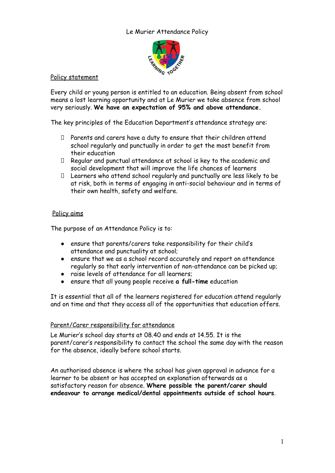# Le Murier Attendance Policy



# Policy statement

Every child or young person is entitled to an education. Being absent from school means a lost learning opportunity and at Le Murier we take absence from school very seriously. **We have an expectation of 95% and above attendance.**

The key principles of the Education Department's attendance strategy are:

- ⮚ Parents and carers have a duty to ensure that their children attend school regularly and punctually in order to get the most benefit from their education
- ⮚ Regular and punctual attendance at school is key to the academic and social development that will improve the life chances of learners
- ⮚ Learners who attend school regularly and punctually are less likely to be at risk, both in terms of engaging in anti-social behaviour and in terms of their own health, safety and welfare.

### Policy aims

The purpose of an Attendance Policy is to:

- ensure that parents/carers take responsibility for their child's attendance and punctuality at school;
- ensure that we as a school record accurately and report on attendance regularly so that early intervention of non-attendance can be picked up;
- raise levels of attendance for all learners;
- ensure that all young people receive **a full-time** education

It is essential that all of the learners registered for education attend regularly and on time and that they access all of the opportunities that education offers.

# Parent/Carer responsibility for attendance

Le Murier's school day starts at 08.40 and ends at 14.55. It is the parent/carer's responsibility to contact the school the same day with the reason for the absence, ideally before school starts.

An authorised absence is where the school has given approval in advance for a learner to be absent or has accepted an explanation afterwards as a satisfactory reason for absence. **Where possible the parent/carer should endeavour to arrange medical/dental appointments outside of school hours**.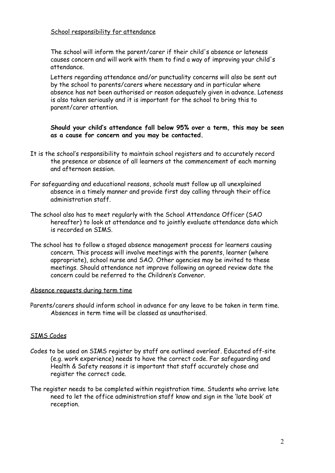### School responsibility for attendance

The school will inform the parent/carer if their child's absence or lateness causes concern and will work with them to find a way of improving your child's attendance.

Letters regarding attendance and/or punctuality concerns will also be sent out by the school to parents/carers where necessary and in particular where absence has not been authorised or reason adequately given in advance. Lateness is also taken seriously and it is important for the school to bring this to parent/carer attention.

### **Should your child's attendance fall below 95% over a term, this may be seen as a cause for concern and you may be contacted.**

- It is the school's responsibility to maintain school registers and to accurately record the presence or absence of all learners at the commencement of each morning and afternoon session.
- For safeguarding and educational reasons, schools must follow up all unexplained absence in a timely manner and provide first day calling through their office administration staff.
- The school also has to meet regularly with the School Attendance Officer (SAO hereafter) to look at attendance and to jointly evaluate attendance data which is recorded on SIMS.
- The school has to follow a staged absence management process for learners causing concern. This process will involve meetings with the parents, learner (where appropriate), school nurse and SAO. Other agencies may be invited to these meetings. Should attendance not improve following an agreed review date the concern could be referred to the Children's Convenor.

#### Absence requests during term time

Parents/carers should inform school in advance for any leave to be taken in term time. Absences in term time will be classed as unauthorised.

#### SIMS Codes

- Codes to be used on SIMS register by staff are outlined overleaf. Educated off-site (e.g. work experience) needs to have the correct code. For safeguarding and Health & Safety reasons it is important that staff accurately chose and register the correct code.
- The register needs to be completed within registration time. Students who arrive late need to let the office administration staff know and sign in the 'late book' at reception.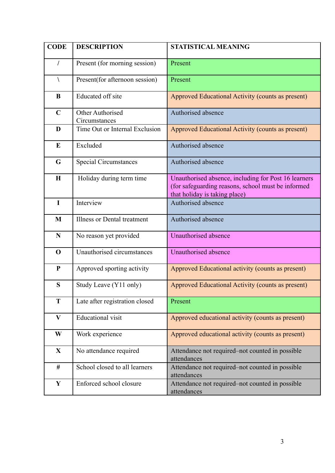| <b>CODE</b>               | <b>DESCRIPTION</b>                | <b>STATISTICAL MEANING</b>                                                                                                                  |
|---------------------------|-----------------------------------|---------------------------------------------------------------------------------------------------------------------------------------------|
| $\sqrt{2}$                | Present (for morning session)     | Present                                                                                                                                     |
| V                         | Present(for afternoon session)    | Present                                                                                                                                     |
| B                         | Educated off site                 | Approved Educational Activity (counts as present)                                                                                           |
| $\mathbf C$               | Other Authorised<br>Circumstances | Authorised absence                                                                                                                          |
| D                         | Time Out or Internal Exclusion    | Approved Educational Activity (counts as present)                                                                                           |
| E                         | Excluded                          | Authorised absence                                                                                                                          |
| G                         | <b>Special Circumstances</b>      | Authorised absence                                                                                                                          |
| H                         | Holiday during term time          | Unauthorised absence, including for Post 16 learners<br>(for safeguarding reasons, school must be informed<br>that holiday is taking place) |
| $\mathbf I$               | Interview                         | Authorised absence                                                                                                                          |
| M                         | Illness or Dental treatment       | Authorised absence                                                                                                                          |
| $\mathbf N$               | No reason yet provided            | Unauthorised absence                                                                                                                        |
| $\mathbf 0$               | Unauthorised circumstances        | Unauthorised absence                                                                                                                        |
| ${\bf P}$                 | Approved sporting activity        | Approved Educational activity (counts as present)                                                                                           |
| S                         | Study Leave (Y11 only)            | Approved Educational Activity (counts as present)                                                                                           |
| T                         | Late after registration closed    | Present                                                                                                                                     |
| $\boldsymbol{\mathrm{V}}$ | <b>Educational</b> visit          | Approved educational activity (counts as present)                                                                                           |
| W                         | Work experience                   | Approved educational activity (counts as present)                                                                                           |
| $\mathbf X$               | No attendance required            | Attendance not required–not counted in possible<br>attendances                                                                              |
| $\#$                      | School closed to all learners     | Attendance not required–not counted in possible<br>attendances                                                                              |
| $\mathbf Y$               | Enforced school closure           | Attendance not required-not counted in possible<br>attendances                                                                              |